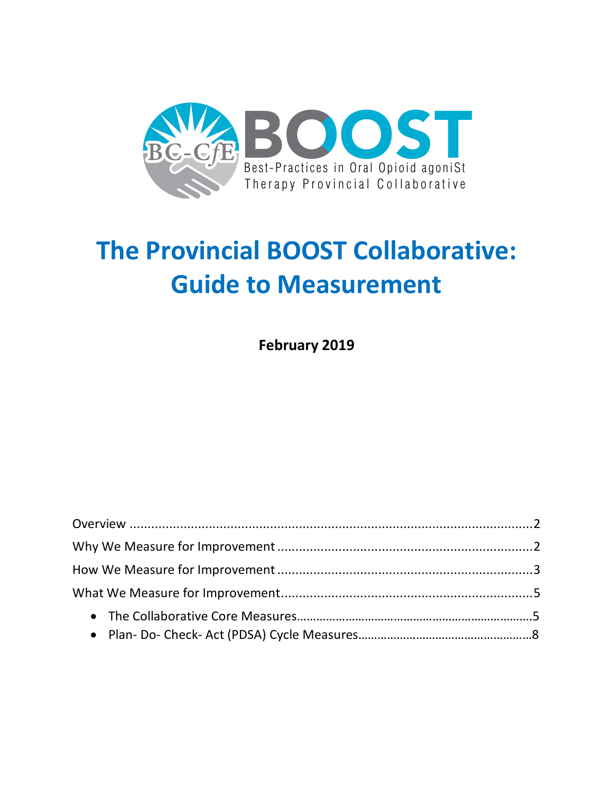

# **The Provincial BOOST Collaborative: Guide to Measurement**

**February 2019**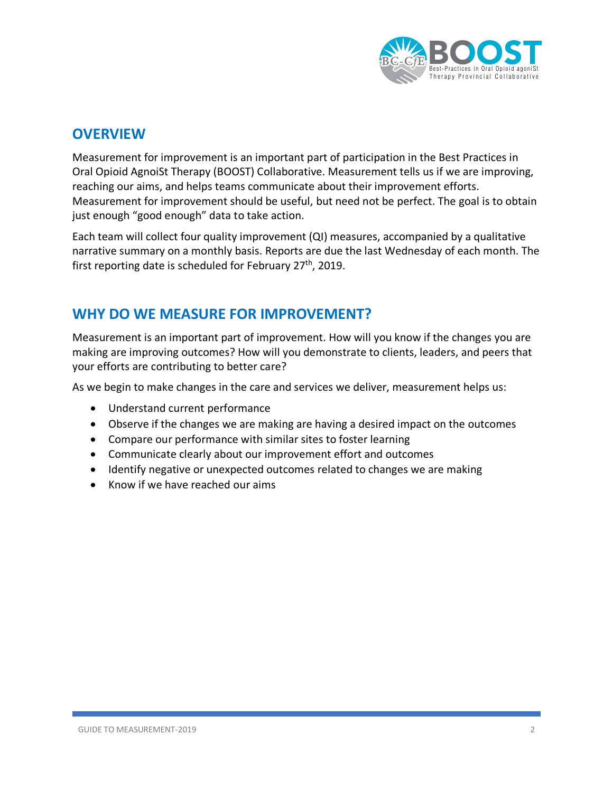

## **OVERVIEW**

Measurement for improvement is an important part of participation in the Best Practices in Oral Opioid AgnoiSt Therapy (BOOST) Collaborative. Measurement tells us if we are improving, reaching our aims, and helps teams communicate about their improvement efforts. Measurement for improvement should be useful, but need not be perfect. The goal is to obtain just enough "good enough" data to take action.

Each team will collect four quality improvement (QI) measures, accompanied by a qualitative narrative summary on a monthly basis. Reports are due the last Wednesday of each month. The first reporting date is scheduled for February 27<sup>th</sup>, 2019.

## **WHY DO WE MEASURE FOR IMPROVEMENT?**

Measurement is an important part of improvement. How will you know if the changes you are making are improving outcomes? How will you demonstrate to clients, leaders, and peers that your efforts are contributing to better care?

As we begin to make changes in the care and services we deliver, measurement helps us:

- Understand current performance
- Observe if the changes we are making are having a desired impact on the outcomes
- Compare our performance with similar sites to foster learning
- Communicate clearly about our improvement effort and outcomes
- Identify negative or unexpected outcomes related to changes we are making
- Know if we have reached our aims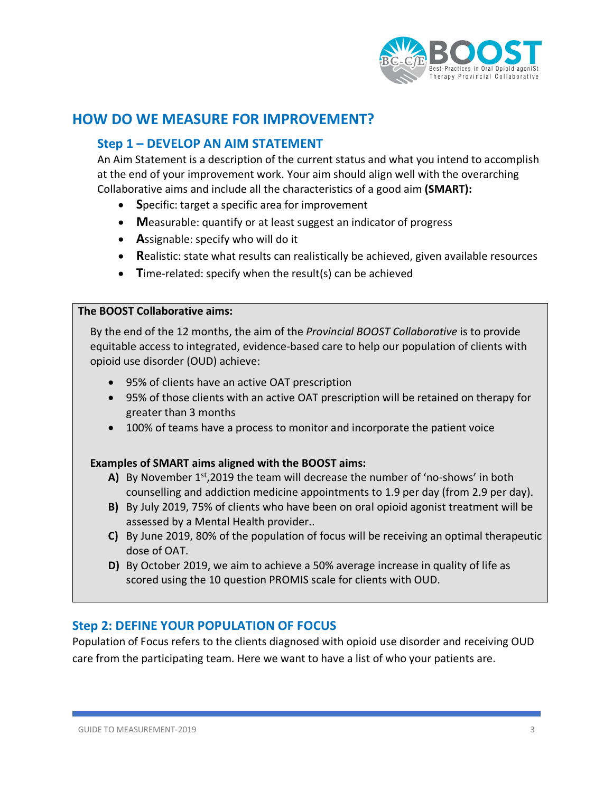

# **HOW DO WE MEASURE FOR IMPROVEMENT?**

### **Step 1 – DEVELOP AN AIM STATEMENT**

An Aim Statement is a description of the current status and what you intend to accomplish at the end of your improvement work. Your aim should align well with the overarching Collaborative aims and include all the characteristics of a good aim **(SMART):**

- **S**pecific: target a specific area for improvement
- **M**easurable: quantify or at least suggest an indicator of progress
- **A**ssignable: specify who will do it
- **R**ealistic: state what results can realistically be achieved, given available resources
- **T**ime-related: specify when the result(s) can be achieved

#### **The BOOST Collaborative aims:**

By the end of the 12 months, the aim of the *Provincial BOOST Collaborative* is to provide equitable access to integrated, evidence-based care to help our population of clients with opioid use disorder (OUD) achieve:

- 95% of clients have an active OAT prescription
- 95% of those clients with an active OAT prescription will be retained on therapy for greater than 3 months
- 100% of teams have a process to monitor and incorporate the patient voice

#### **Examples of SMART aims aligned with the BOOST aims:**

- **A)** By November 1st,2019 the team will decrease the number of 'no-shows' in both counselling and addiction medicine appointments to 1.9 per day (from 2.9 per day).
- **B)** By July 2019, 75% of clients who have been on oral opioid agonist treatment will be assessed by a Mental Health provider..
- **C)** By June 2019, 80% of the population of focus will be receiving an optimal therapeutic dose of OAT.
- **D)** By October 2019, we aim to achieve a 50% average increase in quality of life as scored using the 10 question PROMIS scale for clients with OUD.

#### **Step 2: DEFINE YOUR POPULATION OF FOCUS**

Population of Focus refers to the clients diagnosed with opioid use disorder and receiving OUD care from the participating team. Here we want to have a list of who your patients are.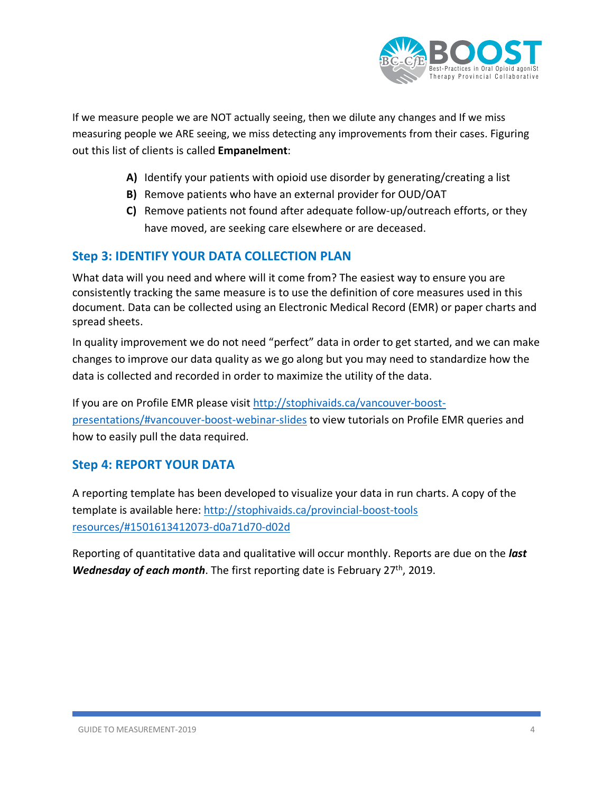

If we measure people we are NOT actually seeing, then we dilute any changes and If we miss measuring people we ARE seeing, we miss detecting any improvements from their cases. Figuring out this list of clients is called **Empanelment**:

- **A)** Identify your patients with opioid use disorder by generating/creating a list
- **B)** Remove patients who have an external provider for OUD/OAT
- **C)** Remove patients not found after adequate follow-up/outreach efforts, or they have moved, are seeking care elsewhere or are deceased.

## **Step 3: IDENTIFY YOUR DATA COLLECTION PLAN**

What data will you need and where will it come from? The easiest way to ensure you are consistently tracking the same measure is to use the definition of core measures used in this document. Data can be collected using an Electronic Medical Record (EMR) or paper charts and spread sheets.

In quality improvement we do not need "perfect" data in order to get started, and we can make changes to improve our data quality as we go along but you may need to standardize how the data is collected and recorded in order to maximize the utility of the data.

If you are on Profile EMR please visit http://stophivaids.ca/vancouver-boostpresentations/#vancouver-boost-webinar-slides to view tutorials on Profile EMR queries and how to easily pull the data required.

## **Step 4: REPORT YOUR DATA**

A reporting template has been developed to visualize your data in run charts. A copy of the template is available here: http://stophivaids.ca/provincial-boost-tools resources/#1501613412073-d0a71d70-d02d

Reporting of quantitative data and qualitative will occur monthly. Reports are due on the *last Wednesday of each month*. The first reporting date is February 27<sup>th</sup>, 2019.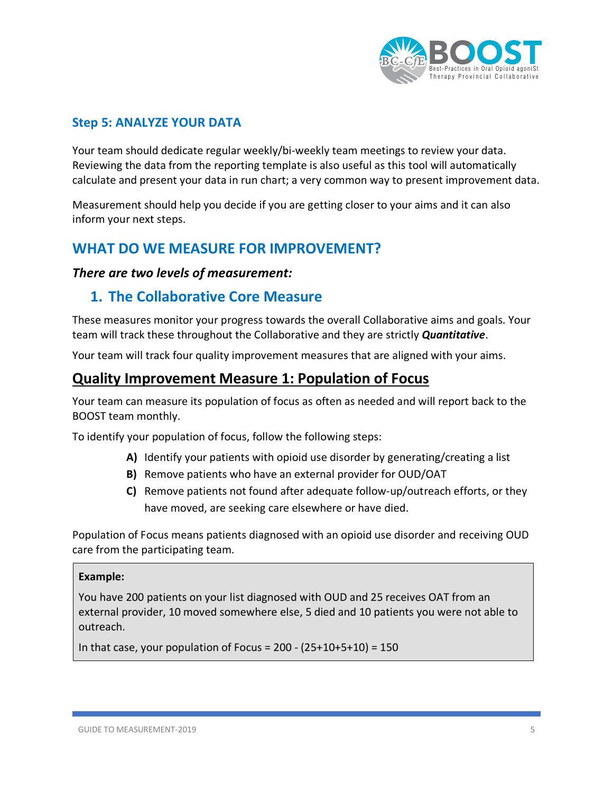

## **Step 5: ANALYZE YOUR DATA**

Your team should dedicate regular weekly/bi-weekly team meetings to review your data. Reviewing the data from the reporting template is also useful as this tool will automatically calculate and present your data in run chart; a very common way to present improvement data.

Measurement should help you decide if you are getting closer to your aims and it can also inform your next steps.

## **WHAT DO WE MEASURE FOR IMPROVEMENT?**

#### *There are two levels of measurement:*

## **1. The Collaborative Core Measure**

These measures monitor your progress towards the overall Collaborative aims and goals. Your team will track these throughout the Collaborative and they are strictly *Quantitative*.

Your team will track four quality improvement measures that are aligned with your aims.

## **Quality Improvement Measure 1: Population of Focus**

Your team can measure its population of focus as often as needed and will report back to the BOOST team monthly.

To identify your population of focus, follow the following steps:

- **A)** Identify your patients with opioid use disorder by generating/creating a list
- **B)** Remove patients who have an external provider for OUD/OAT
- **C)** Remove patients not found after adequate follow-up/outreach efforts, or they have moved, are seeking care elsewhere or have died.

Population of Focus means patients diagnosed with an opioid use disorder and receiving OUD care from the participating team.

#### **Example:**

You have 200 patients on your list diagnosed with OUD and 25 receives OAT from an external provider, 10 moved somewhere else, 5 died and 10 patients you were not able to outreach.

In that case, your population of Focus =  $200 - (25+10+5+10) = 150$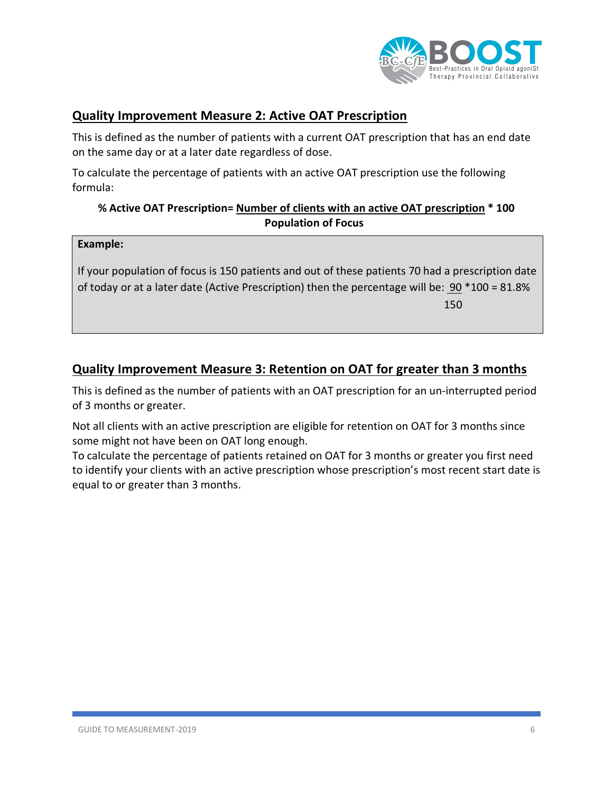

## **Quality Improvement Measure 2: Active OAT Prescription**

This is defined as the number of patients with a current OAT prescription that has an end date on the same day or at a later date regardless of dose.

To calculate the percentage of patients with an active OAT prescription use the following formula:

#### **% Active OAT Prescription= Number of clients with an active OAT prescription \* 100 Population of Focus**

#### **Example:**

If your population of focus is 150 patients and out of these patients 70 had a prescription date of today or at a later date (Active Prescription) then the percentage will be: 90 \*100 = 81.8% the contract of the contract of the contract of the contract of the contract of the contract of the contract o

## **Quality Improvement Measure 3: Retention on OAT for greater than 3 months**

This is defined as the number of patients with an OAT prescription for an un-interrupted period of 3 months or greater.

Not all clients with an active prescription are eligible for retention on OAT for 3 months since some might not have been on OAT long enough.

To calculate the percentage of patients retained on OAT for 3 months or greater you first need to identify your clients with an active prescription whose prescription's most recent start date is equal to or greater than 3 months.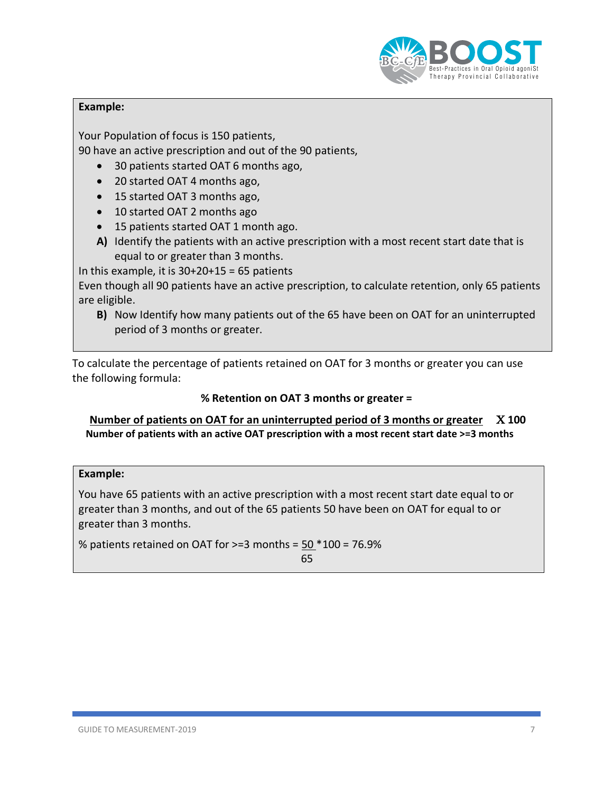

#### **Example:**

Your Population of focus is 150 patients,

90 have an active prescription and out of the 90 patients,

- 30 patients started OAT 6 months ago,
- 20 started OAT 4 months ago,
- 15 started OAT 3 months ago,
- 10 started OAT 2 months ago
- 15 patients started OAT 1 month ago.
- **A)** Identify the patients with an active prescription with a most recent start date that is equal to or greater than 3 months.

In this example, it is  $30+20+15 = 65$  patients

Even though all 90 patients have an active prescription, to calculate retention, only 65 patients are eligible.

**B)** Now Identify how many patients out of the 65 have been on OAT for an uninterrupted period of 3 months or greater.

To calculate the percentage of patients retained on OAT for 3 months or greater you can use the following formula:

#### **% Retention on OAT 3 months or greater =**

**Number of patients on OAT for an uninterrupted period of 3 months or greater X 100 Number of patients with an active OAT prescription with a most recent start date >=3 months**

#### **Example:**

You have 65 patients with an active prescription with a most recent start date equal to or greater than 3 months, and out of the 65 patients 50 have been on OAT for equal to or greater than 3 months.

% patients retained on OAT for >=3 months = 50 \*100 = 76.9% <u>65 - Johann Barbara, martin 1966 - 1967</u>